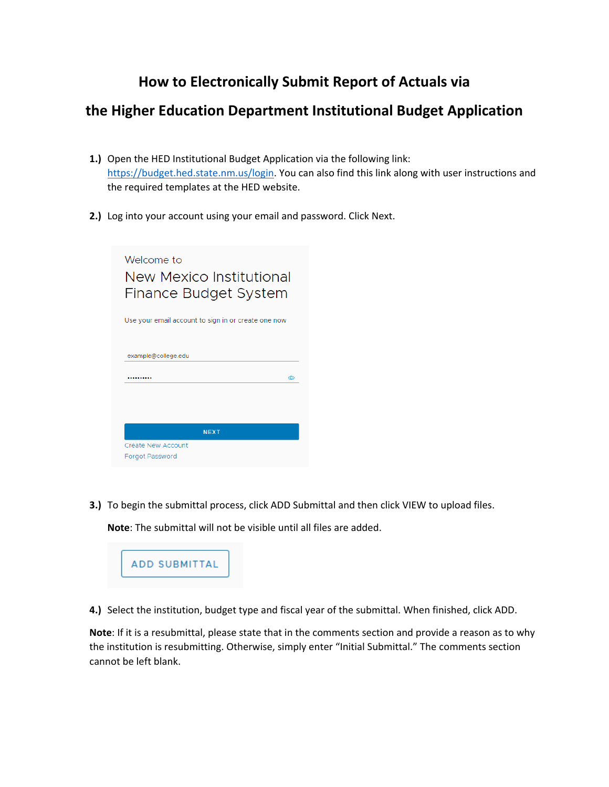# **How to Electronically Submit Report of Actuals via**

## **the Higher Education Department Institutional Budget Application**

- **1.)** Open the HED Institutional Budget Application via the following link: [https://budget.hed.state.nm.us/login.](https://budget.hed.state.nm.us/login) You can also find this link along with user instructions and the required templates at the HED website.
- **2.)** Log into your account using your email and password. Click Next.

| Welcome to<br>New Mexico Institutional<br>Finance Budget System |  |  |  |
|-----------------------------------------------------------------|--|--|--|
| Use your email account to sign in or create one now             |  |  |  |
| example@college.edu<br>ത<br>                                    |  |  |  |
| <b>NEXT</b>                                                     |  |  |  |
| <b>Create New Account</b><br><b>Forgot Password</b>             |  |  |  |

**3.)** To begin the submittal process, click ADD Submittal and then click VIEW to upload files.

**Note**: The submittal will not be visible until all files are added.



**4.)** Select the institution, budget type and fiscal year of the submittal. When finished, click ADD.

**Note**: If it is a resubmittal, please state that in the comments section and provide a reason as to why the institution is resubmitting. Otherwise, simply enter "Initial Submittal." The comments section cannot be left blank.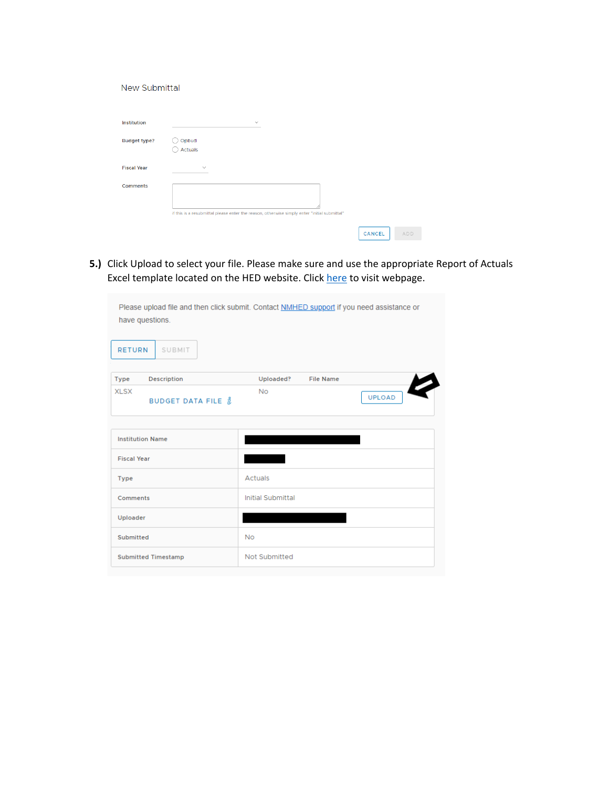#### New Submittal

| <b>Institution</b>  | $\checkmark$                                                                                 |  |
|---------------------|----------------------------------------------------------------------------------------------|--|
| <b>Budget type?</b> | Opbud<br>Actuals                                                                             |  |
| <b>Fiscal Year</b>  | $\checkmark$                                                                                 |  |
| <b>Comments</b>     | if this is a resubmittal please enter the reason, otherwise simply enter "initial submittal" |  |
|                     | CANCEL<br>ADD                                                                                |  |

**5.)** Click Upload to select your file. Please make sure and use the appropriate Report of Actuals Excel template located on the HED website. Click [here](https://hed.state.nm.us/resources-for-schools/institutional-finance/operating-budgets-and-bars) to visit webpage.

| Please upload file and then click submit. Contact NMHED support if you need assistance or |                               |  |  |  |  |
|-------------------------------------------------------------------------------------------|-------------------------------|--|--|--|--|
| have questions.                                                                           |                               |  |  |  |  |
|                                                                                           |                               |  |  |  |  |
| <b>RETURN</b><br>SUBMIT                                                                   |                               |  |  |  |  |
| Description<br>Type                                                                       | Uploaded?<br><b>File Name</b> |  |  |  |  |
| <b>XLSX</b><br>BUDGET DATA FILE $\hat{u}$                                                 | <b>No</b><br>UPLOAD           |  |  |  |  |
|                                                                                           |                               |  |  |  |  |
| <b>Institution Name</b>                                                                   |                               |  |  |  |  |
| <b>Fiscal Year</b>                                                                        |                               |  |  |  |  |
| Type                                                                                      | <b>Actuals</b>                |  |  |  |  |
| Comments                                                                                  | <b>Initial Submittal</b>      |  |  |  |  |
| Uploader                                                                                  |                               |  |  |  |  |
| Submitted                                                                                 | No                            |  |  |  |  |
| <b>Submitted Timestamp</b>                                                                | Not Submitted                 |  |  |  |  |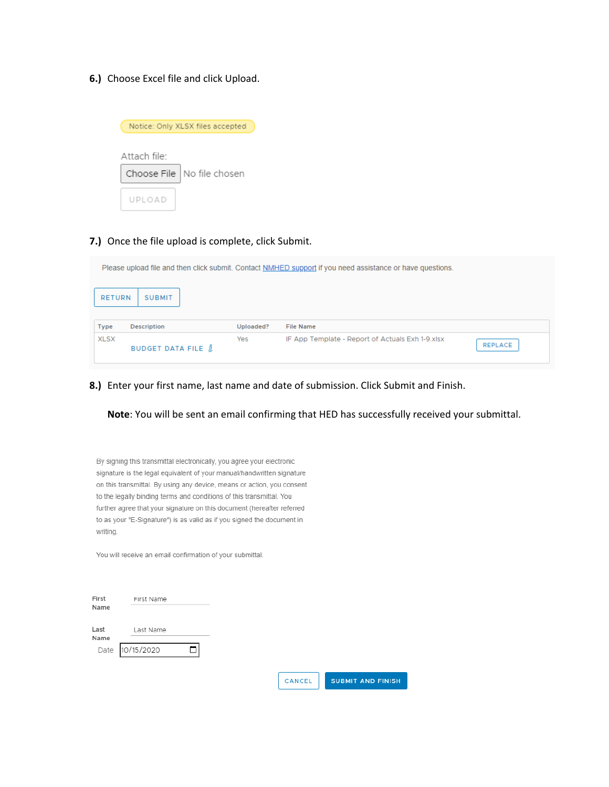**6.)** Choose Excel file and click Upload.



### **7.)** Once the file upload is complete, click Submit.

| Please upload file and then click submit. Contact NMHED support if you need assistance or have questions. |                                              |           |                                                  |         |  |
|-----------------------------------------------------------------------------------------------------------|----------------------------------------------|-----------|--------------------------------------------------|---------|--|
| <b>RETURN</b>                                                                                             | <b>SUBMIT</b>                                |           |                                                  |         |  |
| <b>Type</b>                                                                                               | <b>Description</b>                           | Uploaded? | <b>File Name</b>                                 |         |  |
| <b>XLSX</b>                                                                                               | <b>BUDGET DATA FILE <math>\hat{u}</math></b> | Yes       | IF App Template - Report of Actuals Exh 1-9.xlsx | REPLACE |  |

**8.)** Enter your first name, last name and date of submission. Click Submit and Finish.

**Note**: You will be sent an email confirming that HED has successfully received your submittal.

By signing this transmittal electronically, you agree your electronic signature is the legal equivalent of your manual/handwritten signature on this transmittal. By using any device, means or action, you consent to the legally binding terms and conditions of this transmittal. You further agree that your signature on this document (hereafter referred to as your "E-Signature") is as valid as if you signed the document in writing.

You will receive an email confirmation of your submittal.

| First<br>Name | First Name |  |        |                          |
|---------------|------------|--|--------|--------------------------|
| Last<br>Name  | Last Name  |  |        |                          |
| Date          | 10/15/2020 |  |        |                          |
|               |            |  | CANCEL | <b>SUBMIT AND FINISH</b> |